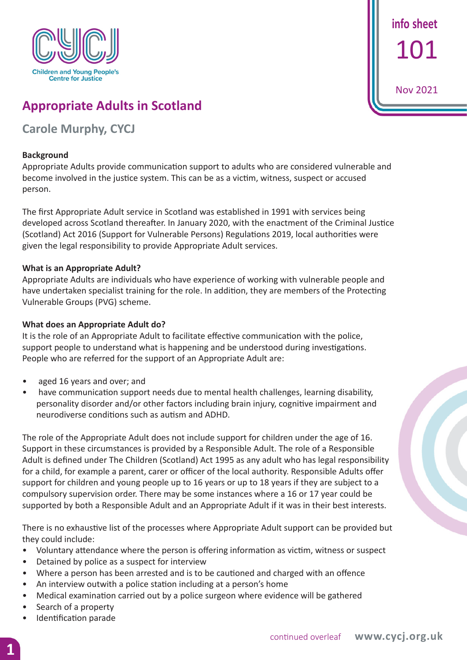

**info sheet** 101

Nov 2021

# **Appropriate Adults in Scotland**

## **Carole Murphy, CYCJ**

#### **Background**

Appropriate Adults provide communication support to adults who are considered vulnerable and become involved in the justice system. This can be as a victim, witness, suspect or accused person.

The first Appropriate Adult service in Scotland was established in 1991 with services being developed across Scotland thereafter. In January 2020, with the enactment of the Criminal Justice (Scotland) Act 2016 (Support for Vulnerable Persons) Regulations 2019, local authorities were given the legal responsibility to provide Appropriate Adult services.

#### **What is an Appropriate Adult?**

Appropriate Adults are individuals who have experience of working with vulnerable people and have undertaken specialist training for the role. In addition, they are members of the Protecting Vulnerable Groups (PVG) scheme.

#### **What does an Appropriate Adult do?**

It is the role of an Appropriate Adult to facilitate effective communication with the police, support people to understand what is happening and be understood during investigations. People who are referred for the support of an Appropriate Adult are:

- aged 16 years and over; and
- have communication support needs due to mental health challenges, learning disability, personality disorder and/or other factors including brain injury, cognitive impairment and neurodiverse conditions such as autism and ADHD.

The role of the Appropriate Adult does not include support for children under the age of 16. Support in these circumstances is provided by a Responsible Adult. The role of a Responsible Adult is defined under The Children (Scotland) Act 1995 as any adult who has legal responsibility for a child, for example a parent, carer or officer of the local authority. Responsible Adults offer support for children and young people up to 16 years or up to 18 years if they are subject to a compulsory supervision order. There may be some instances where a 16 or 17 year could be supported by both a Responsible Adult and an Appropriate Adult if it was in their best interests.

There is no exhaustive list of the processes where Appropriate Adult support can be provided but they could include:

- Voluntary attendance where the person is offering information as victim, witness or suspect
- Detained by police as a suspect for interview
- Where a person has been arrested and is to be cautioned and charged with an offence
- An interview outwith a police station including at a person's home
- Medical examination carried out by a police surgeon where evidence will be gathered
- Search of a property
- Identification parade